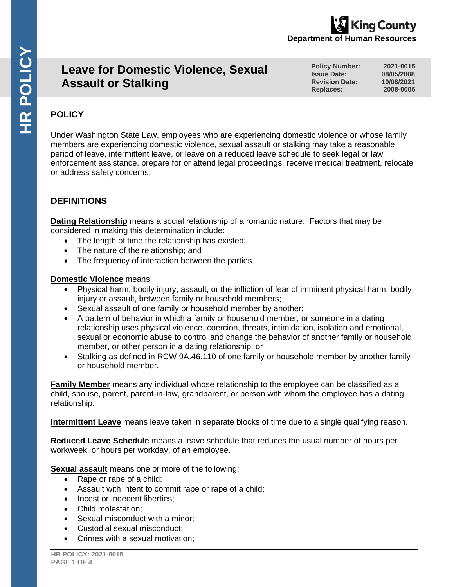# **Leave for Domestic Violence, Sexual Assault or Stalking**

**Policy Number: 2021-0015 Issue Date:** 08/05/2008<br> **Revision Date:** 10/08/2021 **Revision Date: 10/08/2021** Replaces:

**Department of Human Resources** 

ing County

# **POLICY**

Under Washington State Law, employees who are experiencing domestic violence or whose family members are experiencing domestic violence, sexual assault or stalking may take a reasonable period of leave, intermittent leave, or leave on a reduced leave schedule to seek legal or law enforcement assistance, prepare for or attend legal proceedings, receive medical treatment, relocate or address safety concerns.

# **DEFINITIONS**

**Dating Relationship** means a social relationship of a romantic nature. Factors that may be considered in making this determination include:

- The length of time the relationship has existed;
- The nature of the relationship; and
- The frequency of interaction between the parties.

# **Domestic Violence** means:

- Physical harm, bodily injury, assault, or the infliction of fear of imminent physical harm, bodily injury or assault, between family or household members;
- Sexual assault of one family or household member by another;
- A pattern of behavior in which a family or household member, or someone in a dating relationship uses physical violence, coercion, threats, intimidation, isolation and emotional, sexual or economic abuse to control and change the behavior of another family or household member, or other person in a dating relationship; or
- Stalking as defined in RCW 9A.46.110 of one family or household member by another family or household member.

**Family Member** means any individual whose relationship to the employee can be classified as a child, spouse, parent, parent-in-law, grandparent, or person with whom the employee has a dating relationship.

**Intermittent Leave** means leave taken in separate blocks of time due to a single qualifying reason.

**Reduced Leave Schedule** means a leave schedule that reduces the usual number of hours per workweek, or hours per workday, of an employee.

**Sexual assault** means one or more of the following:

- Rape or rape of a child;
- Assault with intent to commit rape or rape of a child;
- Incest or indecent liberties:
- Child molestation;
- Sexual misconduct with a minor:
- Custodial sexual misconduct;
- Crimes with a sexual motivation;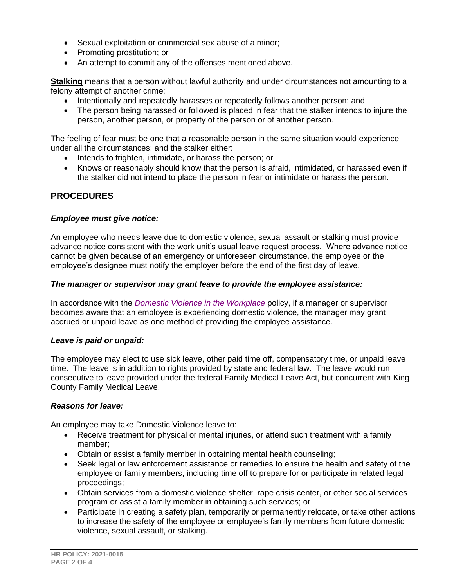- Sexual exploitation or commercial sex abuse of a minor;
- Promoting prostitution; or
- An attempt to commit any of the offenses mentioned above.

**Stalking** means that a person without lawful authority and under circumstances not amounting to a felony attempt of another crime:

- Intentionally and repeatedly harasses or repeatedly follows another person; and
- The person being harassed or followed is placed in fear that the stalker intends to injure the person, another person, or property of the person or of another person.

The feeling of fear must be one that a reasonable person in the same situation would experience under all the circumstances; and the stalker either:

- Intends to frighten, intimidate, or harass the person; or
- Knows or reasonably should know that the person is afraid, intimidated, or harassed even if the stalker did not intend to place the person in fear or intimidate or harass the person.

# **PROCEDURES**

#### *Employee must give notice:*

An employee who needs leave due to domestic violence, sexual assault or stalking must provide advance notice consistent with the work unit's usual leave request process. Where advance notice cannot be given because of an emergency or unforeseen circumstance, the employee or the employee's designee must notify the employer before the end of the first day of leave.

#### *The manager or supervisor may grant leave to provide the employee assistance:*

In accordance with the *[Domestic Violence in the Workplace](https://kingcounty.gov/~/media/audience/employees/policies-forms/hr-policies/Domestic_Violence_in_the_Workplace_FINAL.ashx?la=en)* policy, if a manager or supervisor becomes aware that an employee is experiencing domestic violence, the manager may grant accrued or unpaid leave as one method of providing the employee assistance.

#### *Leave is paid or unpaid:*

The employee may elect to use sick leave, other paid time off, compensatory time, or unpaid leave time. The leave is in addition to rights provided by state and federal law. The leave would run consecutive to leave provided under the federal Family Medical Leave Act, but concurrent with King County Family Medical Leave.

#### *Reasons for leave:*

An employee may take Domestic Violence leave to:

- Receive treatment for physical or mental injuries, or attend such treatment with a family member;
- Obtain or assist a family member in obtaining mental health counseling;
- Seek legal or law enforcement assistance or remedies to ensure the health and safety of the employee or family members, including time off to prepare for or participate in related legal proceedings;
- Obtain services from a domestic violence shelter, rape crisis center, or other social services program or assist a family member in obtaining such services; or
- Participate in creating a safety plan, temporarily or permanently relocate, or take other actions to increase the safety of the employee or employee's family members from future domestic violence, sexual assault, or stalking.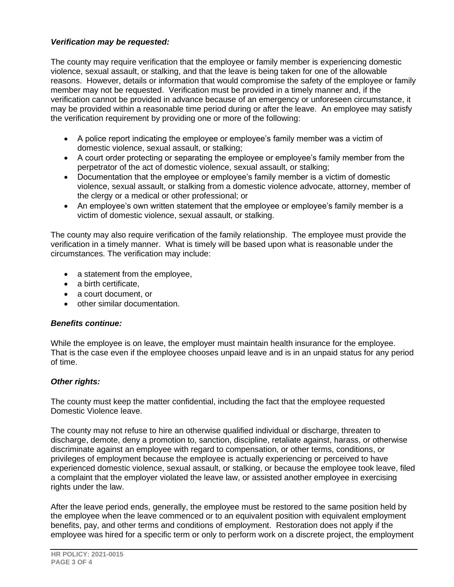## *Verification may be requested:*

The county may require verification that the employee or family member is experiencing domestic violence, sexual assault, or stalking, and that the leave is being taken for one of the allowable reasons. However, details or information that would compromise the safety of the employee or family member may not be requested. Verification must be provided in a timely manner and, if the verification cannot be provided in advance because of an emergency or unforeseen circumstance, it may be provided within a reasonable time period during or after the leave. An employee may satisfy the verification requirement by providing one or more of the following:

- A police report indicating the employee or employee's family member was a victim of domestic violence, sexual assault, or stalking;
- A court order protecting or separating the employee or employee's family member from the perpetrator of the act of domestic violence, sexual assault, or stalking;
- Documentation that the employee or employee's family member is a victim of domestic violence, sexual assault, or stalking from a domestic violence advocate, attorney, member of the clergy or a medical or other professional; or
- An employee's own written statement that the employee or employee's family member is a victim of domestic violence, sexual assault, or stalking.

The county may also require verification of the family relationship. The employee must provide the verification in a timely manner. What is timely will be based upon what is reasonable under the circumstances. The verification may include:

- a statement from the employee,
- a birth certificate.
- a court document, or
- other similar documentation.

#### *Benefits continue:*

While the employee is on leave, the employer must maintain health insurance for the employee. That is the case even if the employee chooses unpaid leave and is in an unpaid status for any period of time.

#### *Other rights:*

The county must keep the matter confidential, including the fact that the employee requested Domestic Violence leave.

The county may not refuse to hire an otherwise qualified individual or discharge, threaten to discharge, demote, deny a promotion to, sanction, discipline, retaliate against, harass, or otherwise discriminate against an employee with regard to compensation, or other terms, conditions, or privileges of employment because the employee is actually experiencing or perceived to have experienced domestic violence, sexual assault, or stalking, or because the employee took leave, filed a complaint that the employer violated the leave law, or assisted another employee in exercising rights under the law.

After the leave period ends, generally, the employee must be restored to the same position held by the employee when the leave commenced or to an equivalent position with equivalent employment benefits, pay, and other terms and conditions of employment. Restoration does not apply if the employee was hired for a specific term or only to perform work on a discrete project, the employment